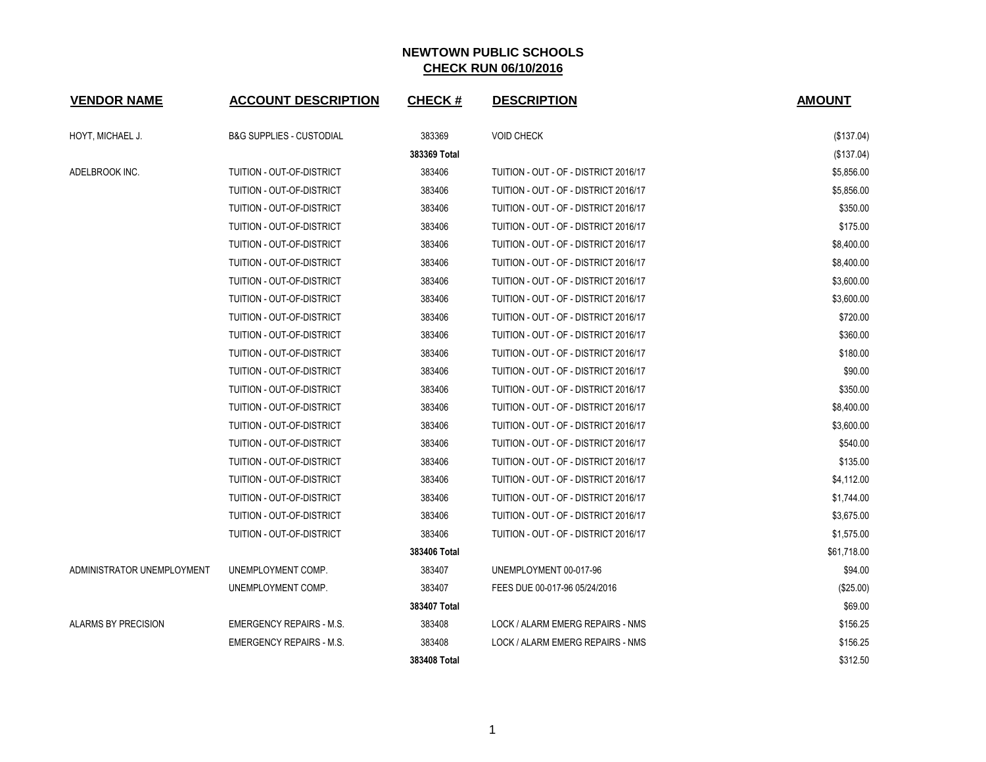| <b>VENDOR NAME</b>         | <b>ACCOUNT DESCRIPTION</b>          | <b>CHECK#</b> | <b>DESCRIPTION</b>                    | <b>AMOUNT</b> |
|----------------------------|-------------------------------------|---------------|---------------------------------------|---------------|
| HOYT, MICHAEL J.           | <b>B&amp;G SUPPLIES - CUSTODIAL</b> | 383369        | <b>VOID CHECK</b>                     | (\$137.04)    |
|                            |                                     | 383369 Total  |                                       | (\$137.04)    |
| ADELBROOK INC.             | TUITION - OUT-OF-DISTRICT           | 383406        | TUITION - OUT - OF - DISTRICT 2016/17 | \$5,856.00    |
|                            | TUITION - OUT-OF-DISTRICT           | 383406        | TUITION - OUT - OF - DISTRICT 2016/17 | \$5,856.00    |
|                            | TUITION - OUT-OF-DISTRICT           | 383406        | TUITION - OUT - OF - DISTRICT 2016/17 | \$350.00      |
|                            | TUITION - OUT-OF-DISTRICT           | 383406        | TUITION - OUT - OF - DISTRICT 2016/17 | \$175.00      |
|                            | TUITION - OUT-OF-DISTRICT           | 383406        | TUITION - OUT - OF - DISTRICT 2016/17 | \$8,400.00    |
|                            | TUITION - OUT-OF-DISTRICT           | 383406        | TUITION - OUT - OF - DISTRICT 2016/17 | \$8,400.00    |
|                            | TUITION - OUT-OF-DISTRICT           | 383406        | TUITION - OUT - OF - DISTRICT 2016/17 | \$3,600.00    |
|                            | TUITION - OUT-OF-DISTRICT           | 383406        | TUITION - OUT - OF - DISTRICT 2016/17 | \$3,600.00    |
|                            | TUITION - OUT-OF-DISTRICT           | 383406        | TUITION - OUT - OF - DISTRICT 2016/17 | \$720.00      |
|                            | TUITION - OUT-OF-DISTRICT           | 383406        | TUITION - OUT - OF - DISTRICT 2016/17 | \$360.00      |
|                            | TUITION - OUT-OF-DISTRICT           | 383406        | TUITION - OUT - OF - DISTRICT 2016/17 | \$180.00      |
|                            | TUITION - OUT-OF-DISTRICT           | 383406        | TUITION - OUT - OF - DISTRICT 2016/17 | \$90.00       |
|                            | TUITION - OUT-OF-DISTRICT           | 383406        | TUITION - OUT - OF - DISTRICT 2016/17 | \$350.00      |
|                            | TUITION - OUT-OF-DISTRICT           | 383406        | TUITION - OUT - OF - DISTRICT 2016/17 | \$8,400.00    |
|                            | TUITION - OUT-OF-DISTRICT           | 383406        | TUITION - OUT - OF - DISTRICT 2016/17 | \$3,600.00    |
|                            | TUITION - OUT-OF-DISTRICT           | 383406        | TUITION - OUT - OF - DISTRICT 2016/17 | \$540.00      |
|                            | TUITION - OUT-OF-DISTRICT           | 383406        | TUITION - OUT - OF - DISTRICT 2016/17 | \$135.00      |
|                            | TUITION - OUT-OF-DISTRICT           | 383406        | TUITION - OUT - OF - DISTRICT 2016/17 | \$4,112.00    |
|                            | TUITION - OUT-OF-DISTRICT           | 383406        | TUITION - OUT - OF - DISTRICT 2016/17 | \$1,744.00    |
|                            | TUITION - OUT-OF-DISTRICT           | 383406        | TUITION - OUT - OF - DISTRICT 2016/17 | \$3,675.00    |
|                            | TUITION - OUT-OF-DISTRICT           | 383406        | TUITION - OUT - OF - DISTRICT 2016/17 | \$1,575.00    |
|                            |                                     | 383406 Total  |                                       | \$61,718.00   |
| ADMINISTRATOR UNEMPLOYMENT | UNEMPLOYMENT COMP.                  | 383407        | UNEMPLOYMENT 00-017-96                | \$94.00       |
|                            | UNEMPLOYMENT COMP.                  | 383407        | FEES DUE 00-017-96 05/24/2016         | (\$25.00)     |
|                            |                                     | 383407 Total  |                                       | \$69.00       |
| ALARMS BY PRECISION        | <b>EMERGENCY REPAIRS - M.S.</b>     | 383408        | LOCK / ALARM EMERG REPAIRS - NMS      | \$156.25      |
|                            | <b>EMERGENCY REPAIRS - M.S.</b>     | 383408        | LOCK / ALARM EMERG REPAIRS - NMS      | \$156.25      |
|                            |                                     | 383408 Total  |                                       | \$312.50      |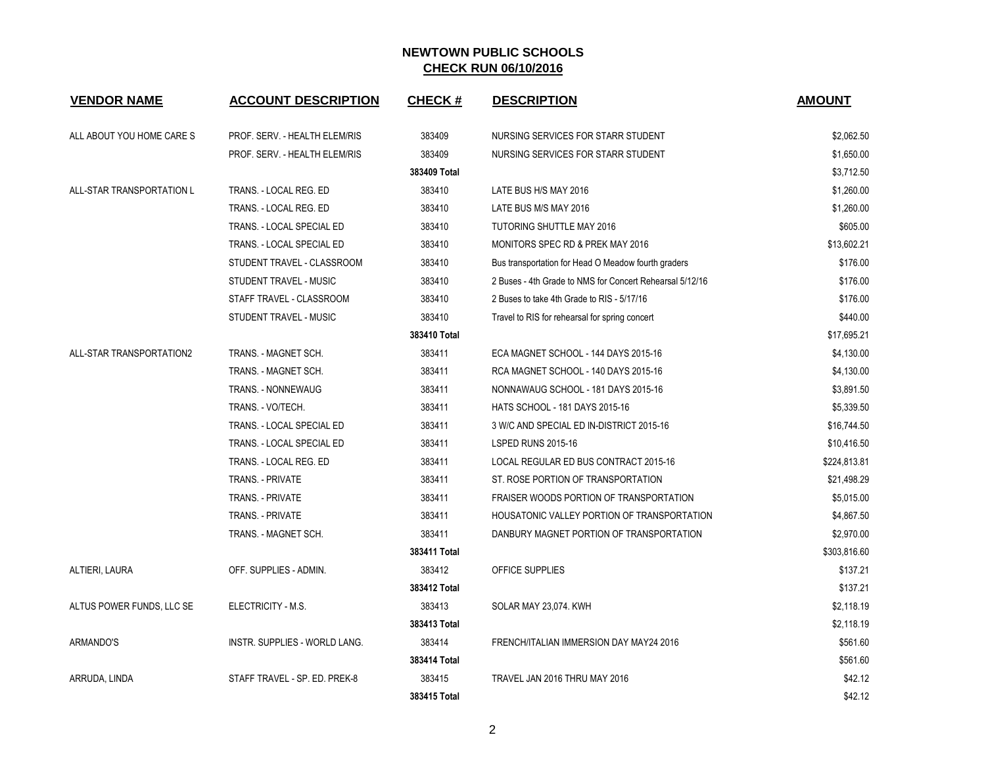| <b>VENDOR NAME</b>        | <b>ACCOUNT DESCRIPTION</b>    | <b>CHECK#</b> | <b>DESCRIPTION</b>                                       | <b>AMOUNT</b> |
|---------------------------|-------------------------------|---------------|----------------------------------------------------------|---------------|
| ALL ABOUT YOU HOME CARE S | PROF. SERV. - HEALTH ELEM/RIS | 383409        | NURSING SERVICES FOR STARR STUDENT                       | \$2,062.50    |
|                           | PROF. SERV. - HEALTH ELEM/RIS | 383409        | NURSING SERVICES FOR STARR STUDENT                       | \$1,650.00    |
|                           |                               | 383409 Total  |                                                          | \$3,712.50    |
| ALL-STAR TRANSPORTATION L | TRANS. - LOCAL REG. ED        | 383410        | LATE BUS H/S MAY 2016                                    | \$1,260.00    |
|                           | TRANS. - LOCAL REG. ED        | 383410        | LATE BUS M/S MAY 2016                                    | \$1,260.00    |
|                           | TRANS. - LOCAL SPECIAL ED     | 383410        | <b>TUTORING SHUTTLE MAY 2016</b>                         | \$605.00      |
|                           | TRANS. - LOCAL SPECIAL ED     | 383410        | <b>MONITORS SPEC RD &amp; PREK MAY 2016</b>              | \$13,602.21   |
|                           | STUDENT TRAVEL - CLASSROOM    | 383410        | Bus transportation for Head O Meadow fourth graders      | \$176.00      |
|                           | STUDENT TRAVEL - MUSIC        | 383410        | 2 Buses - 4th Grade to NMS for Concert Rehearsal 5/12/16 | \$176.00      |
|                           | STAFF TRAVEL - CLASSROOM      | 383410        | 2 Buses to take 4th Grade to RIS - 5/17/16               | \$176.00      |
|                           | STUDENT TRAVEL - MUSIC        | 383410        | Travel to RIS for rehearsal for spring concert           | \$440.00      |
|                           |                               | 383410 Total  |                                                          | \$17,695.21   |
| ALL-STAR TRANSPORTATION2  | TRANS. - MAGNET SCH.          | 383411        | ECA MAGNET SCHOOL - 144 DAYS 2015-16                     | \$4,130.00    |
|                           | TRANS. - MAGNET SCH.          | 383411        | RCA MAGNET SCHOOL - 140 DAYS 2015-16                     | \$4,130.00    |
|                           | TRANS. - NONNEWAUG            | 383411        | NONNAWAUG SCHOOL - 181 DAYS 2015-16                      | \$3,891.50    |
|                           | TRANS. - VO/TECH.             | 383411        | <b>HATS SCHOOL - 181 DAYS 2015-16</b>                    | \$5,339.50    |
|                           | TRANS. - LOCAL SPECIAL ED     | 383411        | 3 W/C AND SPECIAL ED IN-DISTRICT 2015-16                 | \$16,744.50   |
|                           | TRANS. - LOCAL SPECIAL ED     | 383411        | LSPED RUNS 2015-16                                       | \$10,416.50   |
|                           | TRANS. - LOCAL REG. ED        | 383411        | LOCAL REGULAR ED BUS CONTRACT 2015-16                    | \$224,813.81  |
|                           | <b>TRANS. - PRIVATE</b>       | 383411        | ST. ROSE PORTION OF TRANSPORTATION                       | \$21,498.29   |
|                           | <b>TRANS. - PRIVATE</b>       | 383411        | FRAISER WOODS PORTION OF TRANSPORTATION                  | \$5,015.00    |
|                           | TRANS. - PRIVATE              | 383411        | HOUSATONIC VALLEY PORTION OF TRANSPORTATION              | \$4,867.50    |
|                           | TRANS. - MAGNET SCH.          | 383411        | DANBURY MAGNET PORTION OF TRANSPORTATION                 | \$2,970.00    |
|                           |                               | 383411 Total  |                                                          | \$303,816.60  |
| ALTIERI, LAURA            | OFF. SUPPLIES - ADMIN.        | 383412        | OFFICE SUPPLIES                                          | \$137.21      |
|                           |                               | 383412 Total  |                                                          | \$137.21      |
| ALTUS POWER FUNDS, LLC SE | ELECTRICITY - M.S.            | 383413        | SOLAR MAY 23,074. KWH                                    | \$2,118.19    |
|                           |                               | 383413 Total  |                                                          | \$2,118.19    |
| ARMANDO'S                 | INSTR. SUPPLIES - WORLD LANG. | 383414        | FRENCH/ITALIAN IMMERSION DAY MAY24 2016                  | \$561.60      |
|                           |                               | 383414 Total  |                                                          | \$561.60      |
| ARRUDA, LINDA             | STAFF TRAVEL - SP. ED. PREK-8 | 383415        | TRAVEL JAN 2016 THRU MAY 2016                            | \$42.12       |
|                           |                               | 383415 Total  |                                                          | \$42.12       |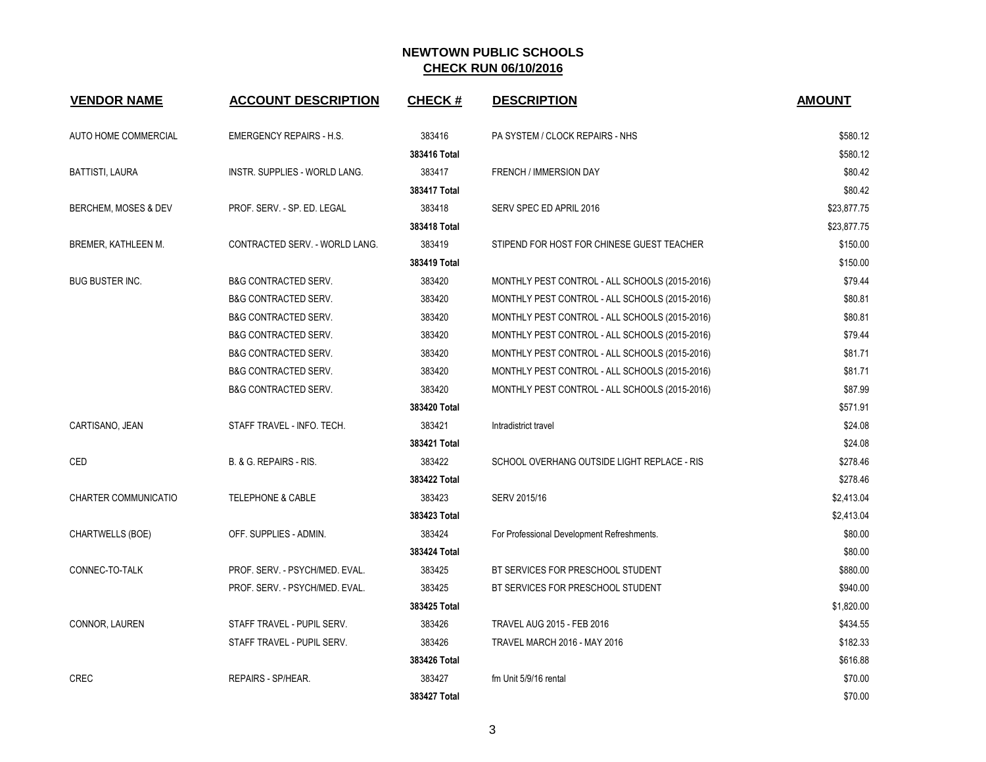| <b>VENDOR NAME</b>         | <b>ACCOUNT DESCRIPTION</b>      | <b>CHECK#</b> | <b>DESCRIPTION</b>                             | <b>AMOUNT</b> |
|----------------------------|---------------------------------|---------------|------------------------------------------------|---------------|
| AUTO HOME COMMERCIAL       | <b>EMERGENCY REPAIRS - H.S.</b> | 383416        | PA SYSTEM / CLOCK REPAIRS - NHS                | \$580.12      |
|                            |                                 | 383416 Total  |                                                | \$580.12      |
| <b>BATTISTI, LAURA</b>     | INSTR. SUPPLIES - WORLD LANG.   | 383417        | FRENCH / IMMERSION DAY                         | \$80.42       |
|                            |                                 | 383417 Total  |                                                | \$80.42       |
| BERCHEM, MOSES & DEV       | PROF. SERV. - SP. ED. LEGAL     | 383418        | SERV SPEC ED APRIL 2016                        | \$23,877.75   |
|                            |                                 | 383418 Total  |                                                | \$23,877.75   |
| <b>BREMER, KATHLEEN M.</b> | CONTRACTED SERV. - WORLD LANG.  | 383419        | STIPEND FOR HOST FOR CHINESE GUEST TEACHER     | \$150.00      |
|                            |                                 | 383419 Total  |                                                | \$150.00      |
| <b>BUG BUSTER INC.</b>     | <b>B&amp;G CONTRACTED SERV.</b> | 383420        | MONTHLY PEST CONTROL - ALL SCHOOLS (2015-2016) | \$79.44       |
|                            | <b>B&amp;G CONTRACTED SERV.</b> | 383420        | MONTHLY PEST CONTROL - ALL SCHOOLS (2015-2016) | \$80.81       |
|                            | <b>B&amp;G CONTRACTED SERV.</b> | 383420        | MONTHLY PEST CONTROL - ALL SCHOOLS (2015-2016) | \$80.81       |
|                            | <b>B&amp;G CONTRACTED SERV.</b> | 383420        | MONTHLY PEST CONTROL - ALL SCHOOLS (2015-2016) | \$79.44       |
|                            | B&G CONTRACTED SERV.            | 383420        | MONTHLY PEST CONTROL - ALL SCHOOLS (2015-2016) | \$81.71       |
|                            | <b>B&amp;G CONTRACTED SERV.</b> | 383420        | MONTHLY PEST CONTROL - ALL SCHOOLS (2015-2016) | \$81.71       |
|                            | <b>B&amp;G CONTRACTED SERV.</b> | 383420        | MONTHLY PEST CONTROL - ALL SCHOOLS (2015-2016) | \$87.99       |
|                            |                                 | 383420 Total  |                                                | \$571.91      |
| CARTISANO, JEAN            | STAFF TRAVEL - INFO. TECH.      | 383421        | Intradistrict travel                           | \$24.08       |
|                            |                                 | 383421 Total  |                                                | \$24.08       |
| CED                        | B. & G. REPAIRS - RIS.          | 383422        | SCHOOL OVERHANG OUTSIDE LIGHT REPLACE - RIS    | \$278.46      |
|                            |                                 | 383422 Total  |                                                | \$278.46      |
| CHARTER COMMUNICATIO       | <b>TELEPHONE &amp; CABLE</b>    | 383423        | SERV 2015/16                                   | \$2,413.04    |
|                            |                                 | 383423 Total  |                                                | \$2,413.04    |
| <b>CHARTWELLS (BOE)</b>    | OFF. SUPPLIES - ADMIN.          | 383424        | For Professional Development Refreshments.     | \$80.00       |
|                            |                                 | 383424 Total  |                                                | \$80.00       |
| CONNEC-TO-TALK             | PROF. SERV. - PSYCH/MED. EVAL.  | 383425        | BT SERVICES FOR PRESCHOOL STUDENT              | \$880.00      |
|                            | PROF. SERV. - PSYCH/MED. EVAL.  | 383425        | BT SERVICES FOR PRESCHOOL STUDENT              | \$940.00      |
|                            |                                 | 383425 Total  |                                                | \$1,820.00    |
| CONNOR, LAUREN             | STAFF TRAVEL - PUPIL SERV.      | 383426        | TRAVEL AUG 2015 - FEB 2016                     | \$434.55      |
|                            | STAFF TRAVEL - PUPIL SERV.      | 383426        | <b>TRAVEL MARCH 2016 - MAY 2016</b>            | \$182.33      |
|                            |                                 | 383426 Total  |                                                | \$616.88      |
| <b>CREC</b>                | REPAIRS - SP/HEAR.              | 383427        | fm Unit 5/9/16 rental                          | \$70.00       |
|                            |                                 | 383427 Total  |                                                | \$70.00       |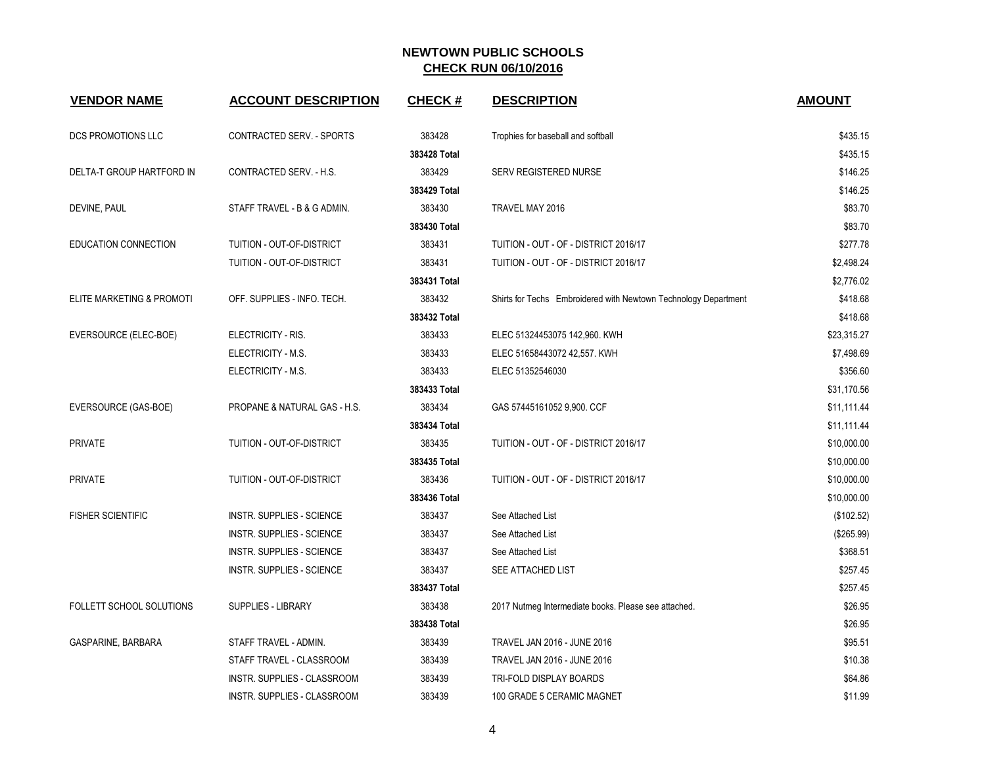| <b>VENDOR NAME</b>        | <b>ACCOUNT DESCRIPTION</b>       | <b>CHECK#</b> | <b>DESCRIPTION</b>                                              | <b>AMOUNT</b> |
|---------------------------|----------------------------------|---------------|-----------------------------------------------------------------|---------------|
| DCS PROMOTIONS LLC        | CONTRACTED SERV. - SPORTS        | 383428        | Trophies for baseball and softball                              | \$435.15      |
|                           |                                  | 383428 Total  |                                                                 | \$435.15      |
| DELTA-T GROUP HARTFORD IN | CONTRACTED SERV. - H.S.          | 383429        | SERV REGISTERED NURSE                                           | \$146.25      |
|                           |                                  | 383429 Total  |                                                                 | \$146.25      |
| DEVINE, PAUL              | STAFF TRAVEL - B & G ADMIN.      | 383430        | TRAVEL MAY 2016                                                 | \$83.70       |
|                           |                                  | 383430 Total  |                                                                 | \$83.70       |
| EDUCATION CONNECTION      | TUITION - OUT-OF-DISTRICT        | 383431        | TUITION - OUT - OF - DISTRICT 2016/17                           | \$277.78      |
|                           | TUITION - OUT-OF-DISTRICT        | 383431        | TUITION - OUT - OF - DISTRICT 2016/17                           | \$2,498.24    |
|                           |                                  | 383431 Total  |                                                                 | \$2,776.02    |
| ELITE MARKETING & PROMOTI | OFF. SUPPLIES - INFO. TECH.      | 383432        | Shirts for Techs Embroidered with Newtown Technology Department | \$418.68      |
|                           |                                  | 383432 Total  |                                                                 | \$418.68      |
| EVERSOURCE (ELEC-BOE)     | ELECTRICITY - RIS.               | 383433        | ELEC 51324453075 142,960. KWH                                   | \$23,315.27   |
|                           | ELECTRICITY - M.S.               | 383433        | ELEC 51658443072 42,557. KWH                                    | \$7,498.69    |
|                           | ELECTRICITY - M.S.               | 383433        | ELEC 51352546030                                                | \$356.60      |
|                           |                                  | 383433 Total  |                                                                 | \$31,170.56   |
| EVERSOURCE (GAS-BOE)      | PROPANE & NATURAL GAS - H.S.     | 383434        | GAS 57445161052 9,900. CCF                                      | \$11,111.44   |
|                           |                                  | 383434 Total  |                                                                 | \$11,111.44   |
| <b>PRIVATE</b>            | TUITION - OUT-OF-DISTRICT        | 383435        | TUITION - OUT - OF - DISTRICT 2016/17                           | \$10,000.00   |
|                           |                                  | 383435 Total  |                                                                 | \$10,000.00   |
| <b>PRIVATE</b>            | <b>TUITION - OUT-OF-DISTRICT</b> | 383436        | TUITION - OUT - OF - DISTRICT 2016/17                           | \$10,000.00   |
|                           |                                  | 383436 Total  |                                                                 | \$10,000.00   |
| <b>FISHER SCIENTIFIC</b>  | <b>INSTR. SUPPLIES - SCIENCE</b> | 383437        | See Attached List                                               | (\$102.52)    |
|                           | <b>INSTR. SUPPLIES - SCIENCE</b> | 383437        | See Attached List                                               | (\$265.99)    |
|                           | <b>INSTR. SUPPLIES - SCIENCE</b> | 383437        | See Attached List                                               | \$368.51      |
|                           | <b>INSTR. SUPPLIES - SCIENCE</b> | 383437        | SEE ATTACHED LIST                                               | \$257.45      |
|                           |                                  | 383437 Total  |                                                                 | \$257.45      |
| FOLLETT SCHOOL SOLUTIONS  | SUPPLIES - LIBRARY               | 383438        | 2017 Nutmeg Intermediate books. Please see attached.            | \$26.95       |
|                           |                                  | 383438 Total  |                                                                 | \$26.95       |
| GASPARINE, BARBARA        | STAFF TRAVEL - ADMIN.            | 383439        | TRAVEL JAN 2016 - JUNE 2016                                     | \$95.51       |
|                           | STAFF TRAVEL - CLASSROOM         | 383439        | TRAVEL JAN 2016 - JUNE 2016                                     | \$10.38       |
|                           | INSTR. SUPPLIES - CLASSROOM      | 383439        | TRI-FOLD DISPLAY BOARDS                                         | \$64.86       |
|                           | INSTR. SUPPLIES - CLASSROOM      | 383439        | 100 GRADE 5 CERAMIC MAGNET                                      | \$11.99       |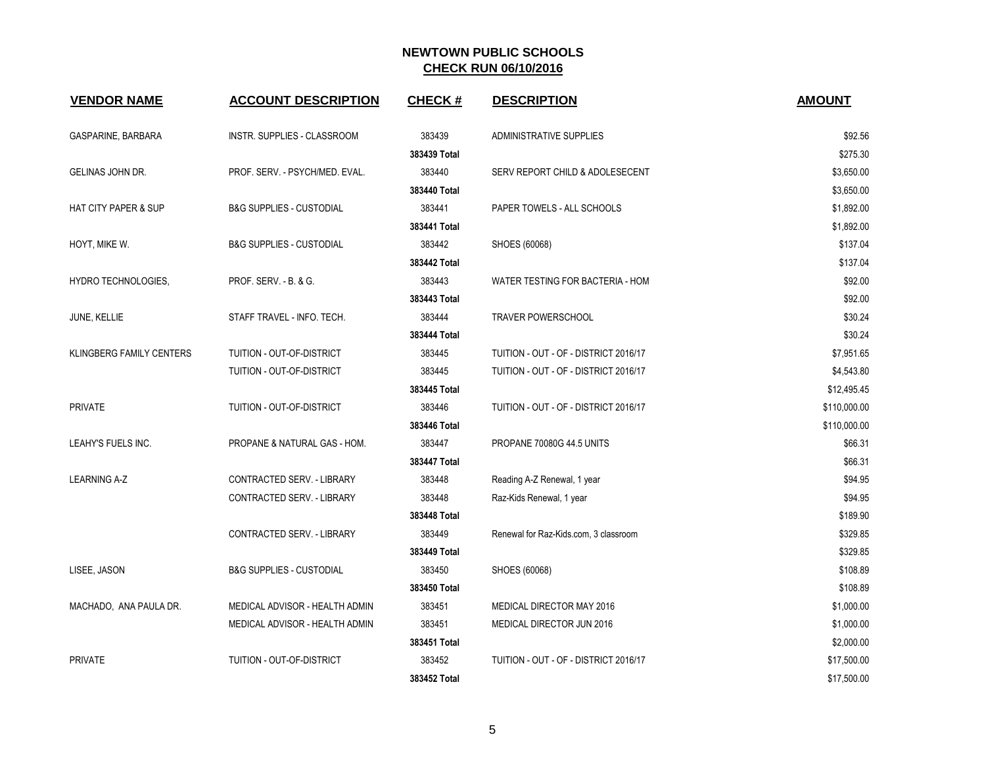| <b>VENDOR NAME</b>              | <b>ACCOUNT DESCRIPTION</b>          | <b>CHECK#</b> | <b>DESCRIPTION</b>                    | <b>AMOUNT</b> |
|---------------------------------|-------------------------------------|---------------|---------------------------------------|---------------|
| GASPARINE, BARBARA              | INSTR. SUPPLIES - CLASSROOM         | 383439        | <b>ADMINISTRATIVE SUPPLIES</b>        | \$92.56       |
|                                 |                                     | 383439 Total  |                                       | \$275.30      |
| GELINAS JOHN DR.                | PROF. SERV. - PSYCH/MED. EVAL.      | 383440        | SERV REPORT CHILD & ADOLESECENT       | \$3,650.00    |
|                                 |                                     | 383440 Total  |                                       | \$3,650.00    |
| <b>HAT CITY PAPER &amp; SUP</b> | <b>B&amp;G SUPPLIES - CUSTODIAL</b> | 383441        | PAPER TOWELS - ALL SCHOOLS            | \$1,892.00    |
|                                 |                                     | 383441 Total  |                                       | \$1,892.00    |
| HOYT, MIKE W.                   | <b>B&amp;G SUPPLIES - CUSTODIAL</b> | 383442        | SHOES (60068)                         | \$137.04      |
|                                 |                                     | 383442 Total  |                                       | \$137.04      |
| HYDRO TECHNOLOGIES,             | PROF. SERV. - B. & G.               | 383443        | WATER TESTING FOR BACTERIA - HOM      | \$92.00       |
|                                 |                                     | 383443 Total  |                                       | \$92.00       |
| JUNE, KELLIE                    | STAFF TRAVEL - INFO. TECH.          | 383444        | TRAVER POWERSCHOOL                    | \$30.24       |
|                                 |                                     | 383444 Total  |                                       | \$30.24       |
| KLINGBERG FAMILY CENTERS        | TUITION - OUT-OF-DISTRICT           | 383445        | TUITION - OUT - OF - DISTRICT 2016/17 | \$7,951.65    |
|                                 | TUITION - OUT-OF-DISTRICT           | 383445        | TUITION - OUT - OF - DISTRICT 2016/17 | \$4,543.80    |
|                                 |                                     | 383445 Total  |                                       | \$12,495.45   |
| <b>PRIVATE</b>                  | TUITION - OUT-OF-DISTRICT           | 383446        | TUITION - OUT - OF - DISTRICT 2016/17 | \$110,000.00  |
|                                 |                                     | 383446 Total  |                                       | \$110,000.00  |
| LEAHY'S FUELS INC.              | PROPANE & NATURAL GAS - HOM.        | 383447        | PROPANE 70080G 44.5 UNITS             | \$66.31       |
|                                 |                                     | 383447 Total  |                                       | \$66.31       |
| <b>LEARNING A-Z</b>             | CONTRACTED SERV. - LIBRARY          | 383448        | Reading A-Z Renewal, 1 year           | \$94.95       |
|                                 | CONTRACTED SERV. - LIBRARY          | 383448        | Raz-Kids Renewal, 1 year              | \$94.95       |
|                                 |                                     | 383448 Total  |                                       | \$189.90      |
|                                 | CONTRACTED SERV. - LIBRARY          | 383449        | Renewal for Raz-Kids.com, 3 classroom | \$329.85      |
|                                 |                                     | 383449 Total  |                                       | \$329.85      |
| LISEE, JASON                    | <b>B&amp;G SUPPLIES - CUSTODIAL</b> | 383450        | SHOES (60068)                         | \$108.89      |
|                                 |                                     | 383450 Total  |                                       | \$108.89      |
| MACHADO, ANA PAULA DR.          | MEDICAL ADVISOR - HEALTH ADMIN      | 383451        | MEDICAL DIRECTOR MAY 2016             | \$1,000.00    |
|                                 | MEDICAL ADVISOR - HEALTH ADMIN      | 383451        | MEDICAL DIRECTOR JUN 2016             | \$1,000.00    |
|                                 |                                     | 383451 Total  |                                       | \$2,000.00    |
| <b>PRIVATE</b>                  | TUITION - OUT-OF-DISTRICT           | 383452        | TUITION - OUT - OF - DISTRICT 2016/17 | \$17,500.00   |
|                                 |                                     | 383452 Total  |                                       | \$17,500.00   |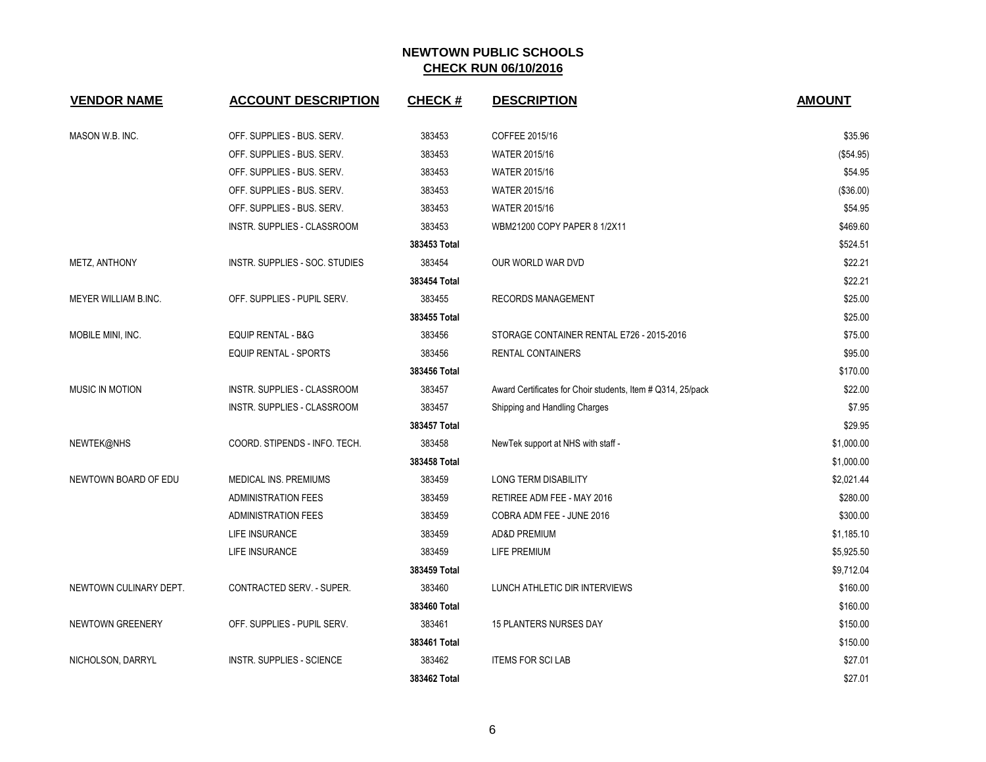| <b>VENDOR NAME</b>     | <b>ACCOUNT DESCRIPTION</b>       | <b>CHECK#</b> | <b>DESCRIPTION</b>                                          | <b>AMOUNT</b> |
|------------------------|----------------------------------|---------------|-------------------------------------------------------------|---------------|
|                        |                                  |               |                                                             |               |
| MASON W.B. INC.        | OFF. SUPPLIES - BUS. SERV.       | 383453        | COFFEE 2015/16                                              | \$35.96       |
|                        | OFF. SUPPLIES - BUS. SERV.       | 383453        | <b>WATER 2015/16</b>                                        | (\$54.95)     |
|                        | OFF. SUPPLIES - BUS. SERV.       | 383453        | <b>WATER 2015/16</b>                                        | \$54.95       |
|                        | OFF. SUPPLIES - BUS. SERV.       | 383453        | <b>WATER 2015/16</b>                                        | (\$36.00)     |
|                        | OFF. SUPPLIES - BUS. SERV.       | 383453        | <b>WATER 2015/16</b>                                        | \$54.95       |
|                        | INSTR. SUPPLIES - CLASSROOM      | 383453        | WBM21200 COPY PAPER 8 1/2X11                                | \$469.60      |
|                        |                                  | 383453 Total  |                                                             | \$524.51      |
| <b>METZ, ANTHONY</b>   | INSTR. SUPPLIES - SOC. STUDIES   | 383454        | OUR WORLD WAR DVD                                           | \$22.21       |
|                        |                                  | 383454 Total  |                                                             | \$22.21       |
| MEYER WILLIAM B.INC.   | OFF. SUPPLIES - PUPIL SERV.      | 383455        | <b>RECORDS MANAGEMENT</b>                                   | \$25.00       |
|                        |                                  | 383455 Total  |                                                             | \$25.00       |
| MOBILE MINI, INC.      | <b>EQUIP RENTAL - B&amp;G</b>    | 383456        | STORAGE CONTAINER RENTAL E726 - 2015-2016                   | \$75.00       |
|                        | <b>EQUIP RENTAL - SPORTS</b>     | 383456        | <b>RENTAL CONTAINERS</b>                                    | \$95.00       |
|                        |                                  | 383456 Total  |                                                             | \$170.00      |
| <b>MUSIC IN MOTION</b> | INSTR. SUPPLIES - CLASSROOM      | 383457        | Award Certificates for Choir students, Item # Q314, 25/pack | \$22.00       |
|                        | INSTR. SUPPLIES - CLASSROOM      | 383457        | Shipping and Handling Charges                               | \$7.95        |
|                        |                                  | 383457 Total  |                                                             | \$29.95       |
| NEWTEK@NHS             | COORD. STIPENDS - INFO. TECH.    | 383458        | NewTek support at NHS with staff -                          | \$1,000.00    |
|                        |                                  | 383458 Total  |                                                             | \$1,000.00    |
| NEWTOWN BOARD OF EDU   | MEDICAL INS. PREMIUMS            | 383459        | LONG TERM DISABILITY                                        | \$2,021.44    |
|                        | <b>ADMINISTRATION FEES</b>       | 383459        | RETIREE ADM FEE - MAY 2016                                  | \$280.00      |
|                        | <b>ADMINISTRATION FEES</b>       | 383459        | COBRA ADM FEE - JUNE 2016                                   | \$300.00      |
|                        | LIFE INSURANCE                   | 383459        | <b>AD&amp;D PREMIUM</b>                                     | \$1,185.10    |
|                        | LIFE INSURANCE                   | 383459        | LIFE PREMIUM                                                | \$5,925.50    |
|                        |                                  | 383459 Total  |                                                             | \$9,712.04    |
| NEWTOWN CULINARY DEPT. | CONTRACTED SERV. - SUPER.        | 383460        | LUNCH ATHLETIC DIR INTERVIEWS                               | \$160.00      |
|                        |                                  | 383460 Total  |                                                             | \$160.00      |
| NEWTOWN GREENERY       | OFF. SUPPLIES - PUPIL SERV.      | 383461        | <b>15 PLANTERS NURSES DAY</b>                               | \$150.00      |
|                        |                                  | 383461 Total  |                                                             | \$150.00      |
| NICHOLSON, DARRYL      | <b>INSTR. SUPPLIES - SCIENCE</b> | 383462        | <b>ITEMS FOR SCILAB</b>                                     | \$27.01       |
|                        |                                  | 383462 Total  |                                                             | \$27.01       |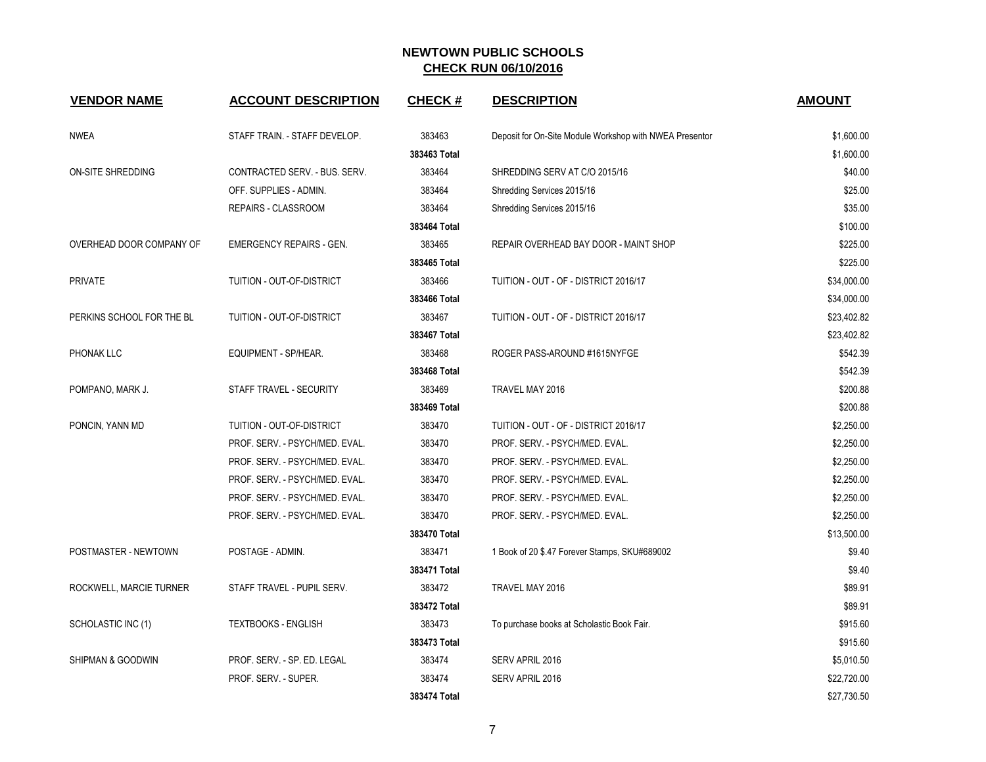| <b>VENDOR NAME</b>        | <b>ACCOUNT DESCRIPTION</b>      | <b>CHECK#</b> | <b>DESCRIPTION</b>                                      | <b>AMOUNT</b> |
|---------------------------|---------------------------------|---------------|---------------------------------------------------------|---------------|
| <b>NWEA</b>               | STAFF TRAIN. - STAFF DEVELOP.   | 383463        | Deposit for On-Site Module Workshop with NWEA Presentor | \$1,600.00    |
|                           |                                 | 383463 Total  |                                                         | \$1,600.00    |
| ON-SITE SHREDDING         | CONTRACTED SERV. - BUS. SERV.   | 383464        | SHREDDING SERV AT C/O 2015/16                           | \$40.00       |
|                           | OFF. SUPPLIES - ADMIN.          | 383464        | Shredding Services 2015/16                              | \$25.00       |
|                           | REPAIRS - CLASSROOM             | 383464        | Shredding Services 2015/16                              | \$35.00       |
|                           |                                 | 383464 Total  |                                                         | \$100.00      |
| OVERHEAD DOOR COMPANY OF  | <b>EMERGENCY REPAIRS - GEN.</b> | 383465        | REPAIR OVERHEAD BAY DOOR - MAINT SHOP                   | \$225.00      |
|                           |                                 | 383465 Total  |                                                         | \$225.00      |
| <b>PRIVATE</b>            | TUITION - OUT-OF-DISTRICT       | 383466        | TUITION - OUT - OF - DISTRICT 2016/17                   | \$34,000.00   |
|                           |                                 | 383466 Total  |                                                         | \$34,000.00   |
| PERKINS SCHOOL FOR THE BL | TUITION - OUT-OF-DISTRICT       | 383467        | TUITION - OUT - OF - DISTRICT 2016/17                   | \$23,402.82   |
|                           |                                 | 383467 Total  |                                                         | \$23,402.82   |
| PHONAK LLC                | EQUIPMENT - SP/HEAR.            | 383468        | ROGER PASS-AROUND #1615NYFGE                            | \$542.39      |
|                           |                                 | 383468 Total  |                                                         | \$542.39      |
| POMPANO, MARK J.          | STAFF TRAVEL - SECURITY         | 383469        | TRAVEL MAY 2016                                         | \$200.88      |
|                           |                                 | 383469 Total  |                                                         | \$200.88      |
| PONCIN, YANN MD           | TUITION - OUT-OF-DISTRICT       | 383470        | TUITION - OUT - OF - DISTRICT 2016/17                   | \$2,250.00    |
|                           | PROF. SERV. - PSYCH/MED. EVAL.  | 383470        | PROF. SERV. - PSYCH/MED. EVAL.                          | \$2,250.00    |
|                           | PROF. SERV. - PSYCH/MED. EVAL.  | 383470        | PROF. SERV. - PSYCH/MED. EVAL.                          | \$2,250.00    |
|                           | PROF. SERV. - PSYCH/MED. EVAL.  | 383470        | PROF. SERV. - PSYCH/MED. EVAL.                          | \$2,250.00    |
|                           | PROF. SERV. - PSYCH/MED. EVAL.  | 383470        | PROF. SERV. - PSYCH/MED. EVAL.                          | \$2,250.00    |
|                           | PROF. SERV. - PSYCH/MED. EVAL.  | 383470        | PROF. SERV. - PSYCH/MED. EVAL.                          | \$2,250.00    |
|                           |                                 | 383470 Total  |                                                         | \$13,500.00   |
| POSTMASTER - NEWTOWN      | POSTAGE - ADMIN.                | 383471        | 1 Book of 20 \$.47 Forever Stamps, SKU#689002           | \$9.40        |
|                           |                                 | 383471 Total  |                                                         | \$9.40        |
| ROCKWELL, MARCIE TURNER   | STAFF TRAVEL - PUPIL SERV.      | 383472        | TRAVEL MAY 2016                                         | \$89.91       |
|                           |                                 | 383472 Total  |                                                         | \$89.91       |
| SCHOLASTIC INC (1)        | <b>TEXTBOOKS - ENGLISH</b>      | 383473        | To purchase books at Scholastic Book Fair.              | \$915.60      |
|                           |                                 | 383473 Total  |                                                         | \$915.60      |
| SHIPMAN & GOODWIN         | PROF. SERV. - SP. ED. LEGAL     | 383474        | SERV APRIL 2016                                         | \$5,010.50    |
|                           | PROF. SERV. - SUPER.            | 383474        | SERV APRIL 2016                                         | \$22,720.00   |
|                           |                                 | 383474 Total  |                                                         | \$27,730.50   |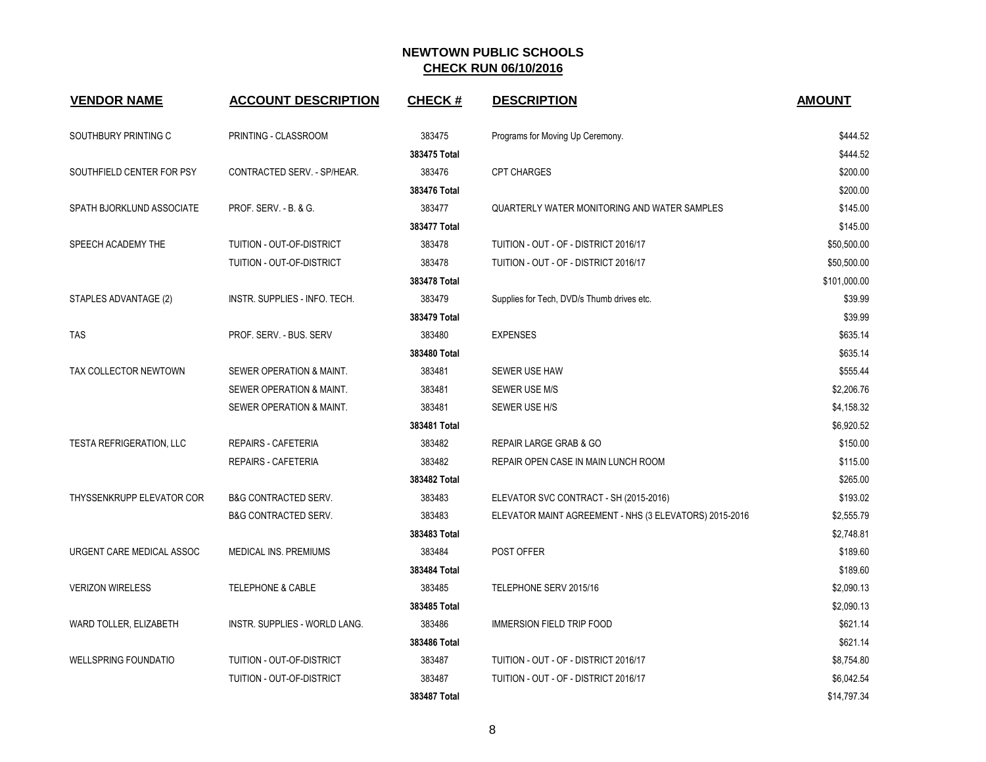| <b>VENDOR NAME</b>              | <b>ACCOUNT DESCRIPTION</b>      | <b>CHECK#</b> | <b>DESCRIPTION</b>                                     | <b>AMOUNT</b> |
|---------------------------------|---------------------------------|---------------|--------------------------------------------------------|---------------|
| SOUTHBURY PRINTING C            | PRINTING - CLASSROOM            | 383475        | Programs for Moving Up Ceremony.                       | \$444.52      |
|                                 |                                 | 383475 Total  |                                                        | \$444.52      |
| SOUTHFIELD CENTER FOR PSY       | CONTRACTED SERV. - SP/HEAR.     | 383476        | <b>CPT CHARGES</b>                                     | \$200.00      |
|                                 |                                 | 383476 Total  |                                                        | \$200.00      |
| SPATH BJORKLUND ASSOCIATE       | PROF. SERV. - B. & G.           | 383477        | QUARTERLY WATER MONITORING AND WATER SAMPLES           | \$145.00      |
|                                 |                                 | 383477 Total  |                                                        | \$145.00      |
| SPEECH ACADEMY THE              | TUITION - OUT-OF-DISTRICT       | 383478        | TUITION - OUT - OF - DISTRICT 2016/17                  | \$50,500.00   |
|                                 | TUITION - OUT-OF-DISTRICT       | 383478        | TUITION - OUT - OF - DISTRICT 2016/17                  | \$50,500.00   |
|                                 |                                 | 383478 Total  |                                                        | \$101,000.00  |
| STAPLES ADVANTAGE (2)           | INSTR. SUPPLIES - INFO. TECH.   | 383479        | Supplies for Tech, DVD/s Thumb drives etc.             | \$39.99       |
|                                 |                                 | 383479 Total  |                                                        | \$39.99       |
| TAS                             | PROF. SERV. - BUS. SERV         | 383480        | <b>EXPENSES</b>                                        | \$635.14      |
|                                 |                                 | 383480 Total  |                                                        | \$635.14      |
| TAX COLLECTOR NEWTOWN           | SEWER OPERATION & MAINT.        | 383481        | SEWER USE HAW                                          | \$555.44      |
|                                 | SEWER OPERATION & MAINT.        | 383481        | <b>SEWER USE M/S</b>                                   | \$2,206.76    |
|                                 | SEWER OPERATION & MAINT.        | 383481        | SEWER USE H/S                                          | \$4,158.32    |
|                                 |                                 | 383481 Total  |                                                        | \$6,920.52    |
| <b>TESTA REFRIGERATION, LLC</b> | <b>REPAIRS - CAFETERIA</b>      | 383482        | REPAIR LARGE GRAB & GO                                 | \$150.00      |
|                                 | REPAIRS - CAFETERIA             | 383482        | REPAIR OPEN CASE IN MAIN LUNCH ROOM                    | \$115.00      |
|                                 |                                 | 383482 Total  |                                                        | \$265.00      |
| THYSSENKRUPP ELEVATOR COR       | <b>B&amp;G CONTRACTED SERV.</b> | 383483        | ELEVATOR SVC CONTRACT - SH (2015-2016)                 | \$193.02      |
|                                 | <b>B&amp;G CONTRACTED SERV.</b> | 383483        | ELEVATOR MAINT AGREEMENT - NHS (3 ELEVATORS) 2015-2016 | \$2,555.79    |
|                                 |                                 | 383483 Total  |                                                        | \$2,748.81    |
| URGENT CARE MEDICAL ASSOC       | MEDICAL INS. PREMIUMS           | 383484        | POST OFFER                                             | \$189.60      |
|                                 |                                 | 383484 Total  |                                                        | \$189.60      |
| <b>VERIZON WIRELESS</b>         | <b>TELEPHONE &amp; CABLE</b>    | 383485        | TELEPHONE SERV 2015/16                                 | \$2,090.13    |
|                                 |                                 | 383485 Total  |                                                        | \$2,090.13    |
| WARD TOLLER, ELIZABETH          | INSTR. SUPPLIES - WORLD LANG.   | 383486        | <b>IMMERSION FIELD TRIP FOOD</b>                       | \$621.14      |
|                                 |                                 | 383486 Total  |                                                        | \$621.14      |
| <b>WELLSPRING FOUNDATIO</b>     | TUITION - OUT-OF-DISTRICT       | 383487        | TUITION - OUT - OF - DISTRICT 2016/17                  | \$8,754.80    |
|                                 | TUITION - OUT-OF-DISTRICT       | 383487        | TUITION - OUT - OF - DISTRICT 2016/17                  | \$6,042.54    |
|                                 |                                 | 383487 Total  |                                                        | \$14,797.34   |